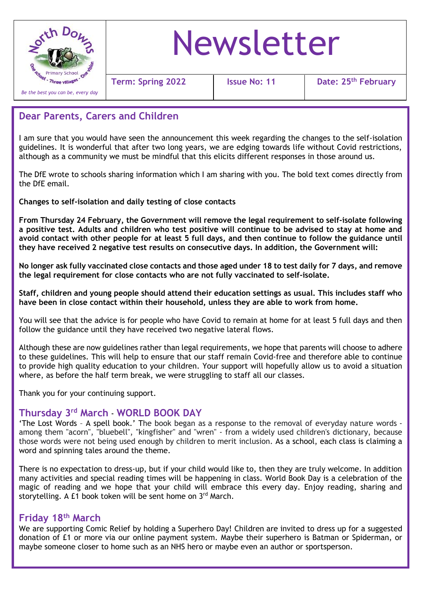

# Newsletter

**Term: Spring 2022 Issue No: 11 Date: 25th February**

# **Dear Parents, Carers and Children**

I am sure that you would have seen the announcement this week regarding the changes to the self-isolation guidelines. It is wonderful that after two long years, we are edging towards life without Covid restrictions, although as a community we must be mindful that this elicits different responses in those around us.

The DfE wrote to schools sharing information which I am sharing with you. The bold text comes directly from the DfE email.

**Changes to self-isolation and daily testing of close contacts**

**From Thursday 24 February, the Government will remove the legal requirement to self-isolate following a positive test. Adults and children who test positive will continue to be advised to stay at home and avoid contact with other people for at least 5 full days, and then continue to follow the guidance until they have received 2 negative test results on consecutive days. In addition, the Government will:**

**No longer ask fully vaccinated close contacts and those aged under 18 to test daily for 7 days, and remove the legal requirement for close contacts who are not fully vaccinated to self-isolate.**

**Staff, children and young people should attend their education settings as usual. This includes staff who have been in close contact within their household, unless they are able to work from home.**

You will see that the advice is for people who have Covid to remain at home for at least 5 full days and then follow the guidance until they have received two negative lateral flows.

to provide high quatity education to your children. Tour support will noperally a<br>where, as before the half term break, we were struggling to staff all our classes. Although these are now guidelines rather than legal requirements, we hope that parents will choose to adhere to these guidelines. This will help to ensure that our staff remain Covid-free and therefore able to continue to provide high quality education to your children. Your support will hopefully allow us to avoid a situation

Thank you for your continuing support.

### **Thursday 3rd March** - **WORLD BOOK DAY**

 those words were not being used enough by children to merit inclusion. As a school, each class is claiming a 'The Lost Words – A spell book.' The book began as a response to the removal of everyday nature words among them "acorn", "bluebell", "kingfisher" and "wren" - from a widely used children's dictionary, because word and spinning tales around the theme.

There is no expectation to dress-up, but if your child would like to, then they are truly welcome. In addition many activities and special reading times will be happening in class. World Book Day is a celebration of the magic of reading and we hope that your child will embrace this every day. Enjoy reading, sharing and storytelling. A £1 book token will be sent home on 3rd March.

# **Friday 18th March**

We are supporting Comic Relief by holding a Superhero Day! Children are invited to dress up for a suggested donation of £1 or more via our online payment system. Maybe their superhero is Batman or Spiderman, or maybe someone closer to home such as an NHS hero or maybe even an author or sportsperson.